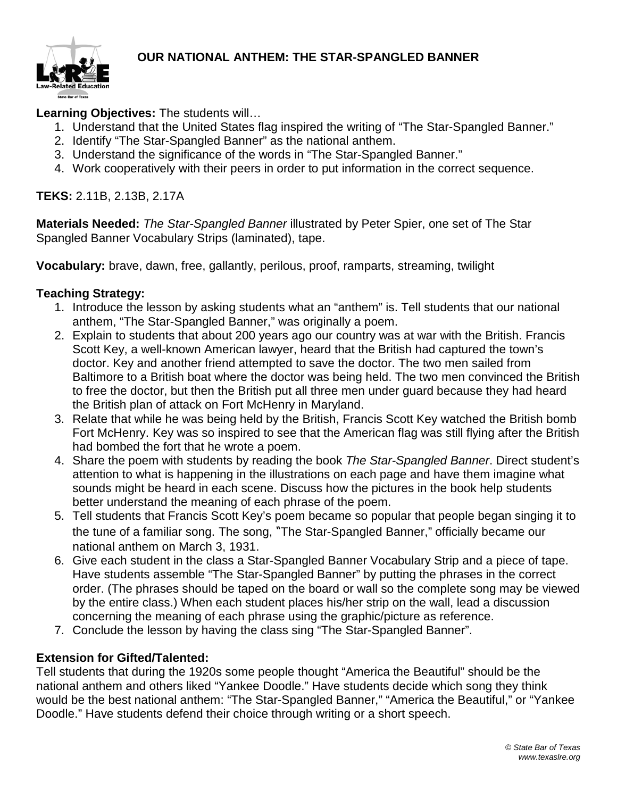

## **Learning Objectives:** The students will…

- 1. Understand that the United States flag inspired the writing of "The Star-Spangled Banner."
- 2. Identify "The Star-Spangled Banner" as the national anthem.
- 3. Understand the significance of the words in "The Star-Spangled Banner."
- 4. Work cooperatively with their peers in order to put information in the correct sequence.

## **TEKS:** 2.11B, 2.13B, 2.17A

**Materials Needed:** *The Star-Spangled Banner* illustrated by Peter Spier, one set of The Star Spangled Banner Vocabulary Strips (laminated), tape.

**Vocabulary:** brave, dawn, free, gallantly, perilous, proof, ramparts, streaming, twilight

#### **Teaching Strategy:**

- 1. Introduce the lesson by asking students what an "anthem" is. Tell students that our national anthem, "The Star-Spangled Banner," was originally a poem.
- 2. Explain to students that about 200 years ago our country was at war with the British. Francis Scott Key, a well-known American lawyer, heard that the British had captured the town's doctor. Key and another friend attempted to save the doctor. The two men sailed from Baltimore to a British boat where the doctor was being held. The two men convinced the British to free the doctor, but then the British put all three men under guard because they had heard the British plan of attack on Fort McHenry in Maryland.
- 3. Relate that while he was being held by the British, Francis Scott Key watched the British bomb Fort McHenry. Key was so inspired to see that the American flag was still flying after the British had bombed the fort that he wrote a poem.
- 4. Share the poem with students by reading the book *The Star-Spangled Banner*. Direct student's attention to what is happening in the illustrations on each page and have them imagine what sounds might be heard in each scene. Discuss how the pictures in the book help students better understand the meaning of each phrase of the poem.
- 5. Tell students that Francis Scott Key's poem became so popular that people began singing it to the tune of a familiar song. The song, "The Star-Spangled Banner," officially became our national anthem on March 3, 1931.
- 6. Give each student in the class a Star-Spangled Banner Vocabulary Strip and a piece of tape. Have students assemble "The Star-Spangled Banner" by putting the phrases in the correct order. (The phrases should be taped on the board or wall so the complete song may be viewed by the entire class.) When each student places his/her strip on the wall, lead a discussion concerning the meaning of each phrase using the graphic/picture as reference.
- 7. Conclude the lesson by having the class sing "The Star-Spangled Banner".

#### **Extension for Gifted/Talented:**

Tell students that during the 1920s some people thought "America the Beautiful" should be the national anthem and others liked "Yankee Doodle." Have students decide which song they think would be the best national anthem: "The Star-Spangled Banner," "America the Beautiful," or "Yankee Doodle." Have students defend their choice through writing or a short speech.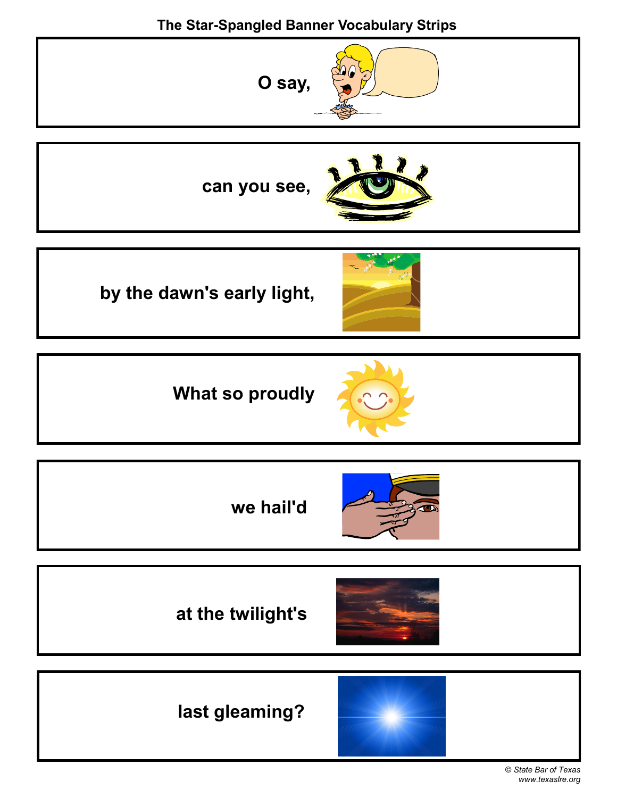# **The Star-Spangled Banner Vocabulary Strips**



© *State Bar of Texas www.texaslre.org*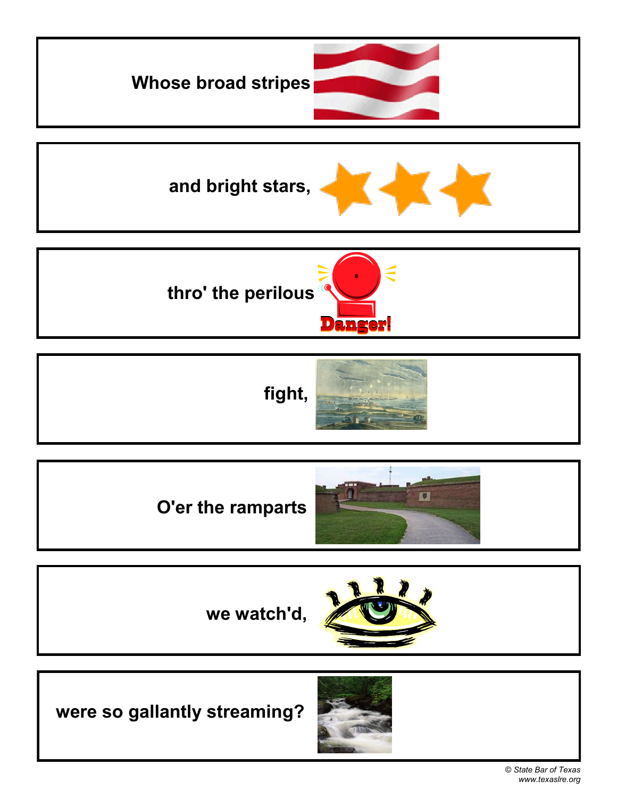







**we watch'd,**

**were so gallantly streaming?**

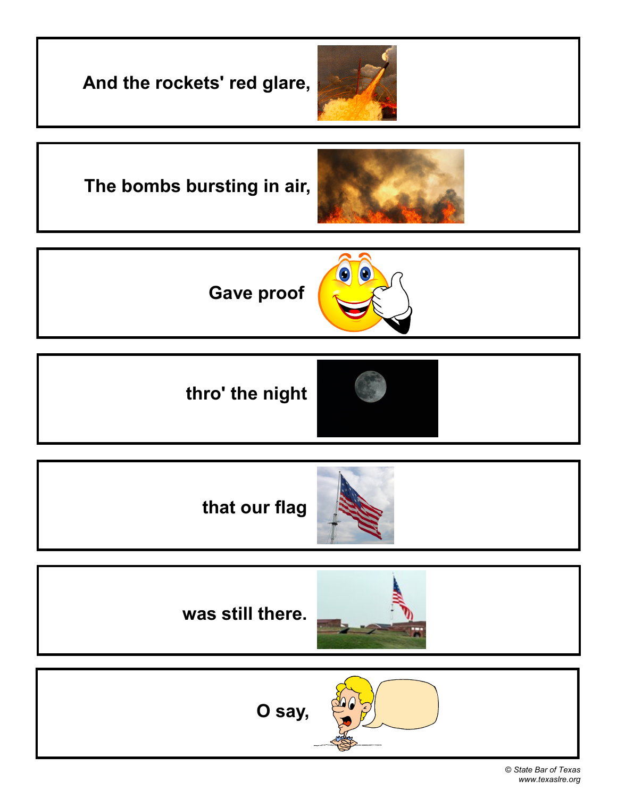**And the rockets' red glare,** 





 $\bullet$ **Gave proof** 

**thro' the night**